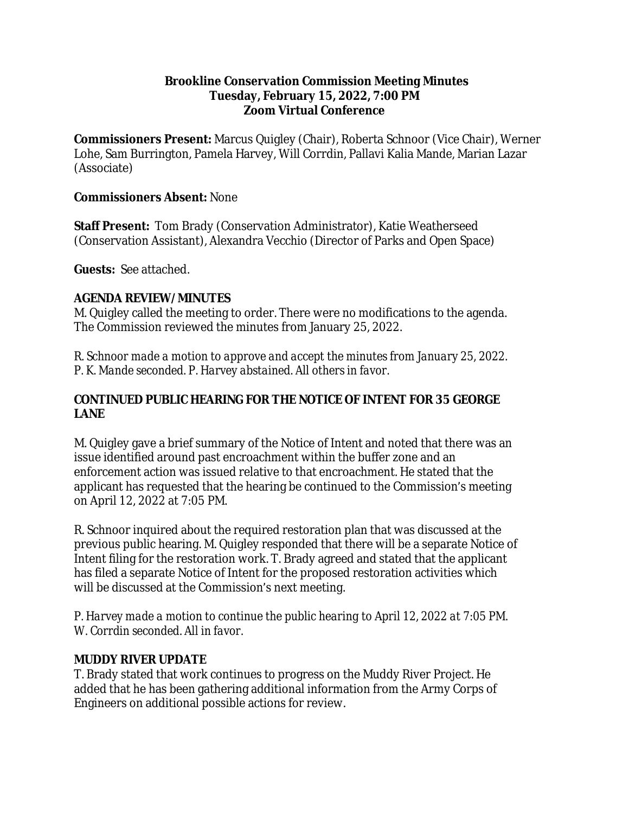#### **Brookline Conservation Commission Meeting Minutes Tuesday, February 15, 2022, 7:00 PM Zoom Virtual Conference**

**Commissioners Present:** Marcus Quigley (Chair), Roberta Schnoor (Vice Chair), Werner Lohe, Sam Burrington, Pamela Harvey, Will Corrdin, Pallavi Kalia Mande, Marian Lazar (Associate)

#### **Commissioners Absent:** None

**Staff Present:** Tom Brady (Conservation Administrator), Katie Weatherseed (Conservation Assistant), Alexandra Vecchio (Director of Parks and Open Space)

**Guests:** See attached.

## **AGENDA REVIEW/MINUTES**

M. Quigley called the meeting to order. There were no modifications to the agenda. The Commission reviewed the minutes from January 25, 2022.

*R. Schnoor made a motion to approve and accept the minutes from January 25, 2022. P. K. Mande seconded. P. Harvey abstained. All others in favor.*

## **CONTINUED PUBLIC HEARING FOR THE NOTICE OF INTENT FOR 35 GEORGE LANE**

M. Quigley gave a brief summary of the Notice of Intent and noted that there was an issue identified around past encroachment within the buffer zone and an enforcement action was issued relative to that encroachment. He stated that the applicant has requested that the hearing be continued to the Commission's meeting on April 12, 2022 at 7:05 PM.

R. Schnoor inquired about the required restoration plan that was discussed at the previous public hearing. M. Quigley responded that there will be a separate Notice of Intent filing for the restoration work. T. Brady agreed and stated that the applicant has filed a separate Notice of Intent for the proposed restoration activities which will be discussed at the Commission's next meeting.

*P. Harvey made a motion to continue the public hearing to April 12, 2022 at 7:05 PM. W. Corrdin seconded. All in favor.*

## **MUDDY RIVER UPDATE**

T. Brady stated that work continues to progress on the Muddy River Project. He added that he has been gathering additional information from the Army Corps of Engineers on additional possible actions for review.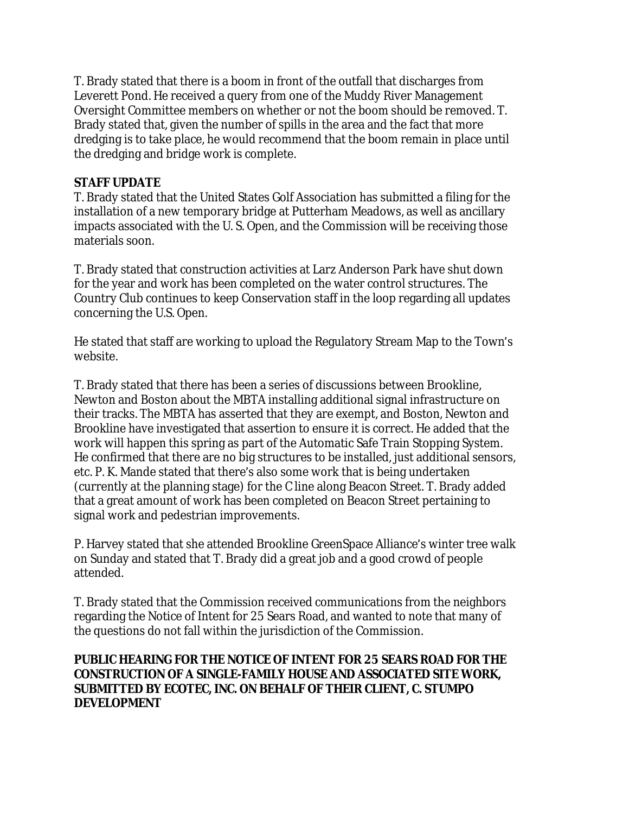T. Brady stated that there is a boom in front of the outfall that discharges from Leverett Pond. He received a query from one of the Muddy River Management Oversight Committee members on whether or not the boom should be removed. T. Brady stated that, given the number of spills in the area and the fact that more dredging is to take place, he would recommend that the boom remain in place until the dredging and bridge work is complete.

#### **STAFF UPDATE**

T. Brady stated that the United States Golf Association has submitted a filing for the installation of a new temporary bridge at Putterham Meadows, as well as ancillary impacts associated with the U. S. Open, and the Commission will be receiving those materials soon.

T. Brady stated that construction activities at Larz Anderson Park have shut down for the year and work has been completed on the water control structures. The Country Club continues to keep Conservation staff in the loop regarding all updates concerning the U.S. Open.

He stated that staff are working to upload the Regulatory Stream Map to the Town's website.

T. Brady stated that there has been a series of discussions between Brookline, Newton and Boston about the MBTA installing additional signal infrastructure on their tracks. The MBTA has asserted that they are exempt, and Boston, Newton and Brookline have investigated that assertion to ensure it is correct. He added that the work will happen this spring as part of the Automatic Safe Train Stopping System. He confirmed that there are no big structures to be installed, just additional sensors, etc. P. K. Mande stated that there's also some work that is being undertaken (currently at the planning stage) for the C line along Beacon Street. T. Brady added that a great amount of work has been completed on Beacon Street pertaining to signal work and pedestrian improvements.

P. Harvey stated that she attended Brookline GreenSpace Alliance's winter tree walk on Sunday and stated that T. Brady did a great job and a good crowd of people attended.

T. Brady stated that the Commission received communications from the neighbors regarding the Notice of Intent for 25 Sears Road, and wanted to note that many of the questions do not fall within the jurisdiction of the Commission.

#### **PUBLIC HEARING FOR THE NOTICE OF INTENT FOR 25 SEARS ROAD FOR THE CONSTRUCTION OF A SINGLE-FAMILY HOUSE AND ASSOCIATED SITE WORK, SUBMITTED BY ECOTEC, INC. ON BEHALF OF THEIR CLIENT, C. STUMPO DEVELOPMENT**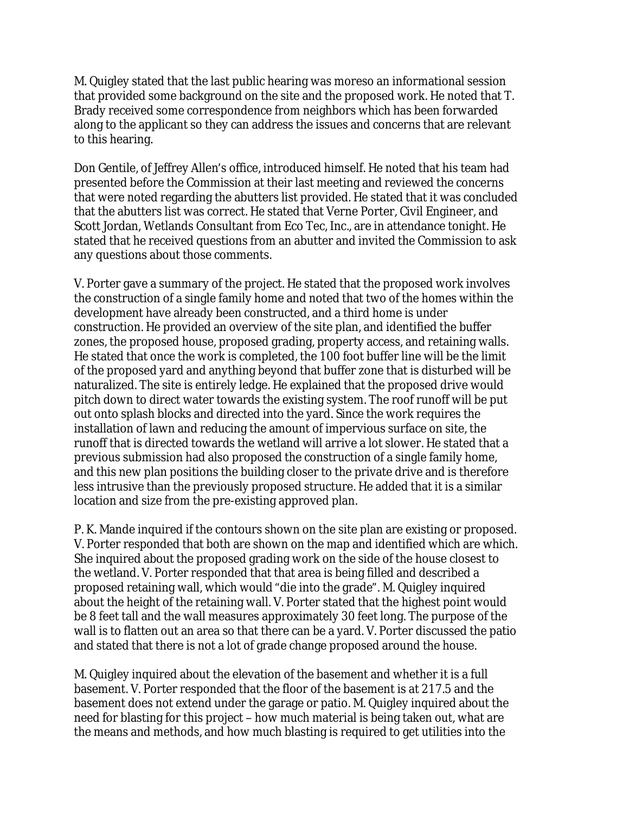M. Quigley stated that the last public hearing was moreso an informational session that provided some background on the site and the proposed work. He noted that T. Brady received some correspondence from neighbors which has been forwarded along to the applicant so they can address the issues and concerns that are relevant to this hearing.

Don Gentile, of Jeffrey Allen's office, introduced himself. He noted that his team had presented before the Commission at their last meeting and reviewed the concerns that were noted regarding the abutters list provided. He stated that it was concluded that the abutters list was correct. He stated that Verne Porter, Civil Engineer, and Scott Jordan, Wetlands Consultant from Eco Tec, Inc., are in attendance tonight. He stated that he received questions from an abutter and invited the Commission to ask any questions about those comments.

V. Porter gave a summary of the project. He stated that the proposed work involves the construction of a single family home and noted that two of the homes within the development have already been constructed, and a third home is under construction. He provided an overview of the site plan, and identified the buffer zones, the proposed house, proposed grading, property access, and retaining walls. He stated that once the work is completed, the 100 foot buffer line will be the limit of the proposed yard and anything beyond that buffer zone that is disturbed will be naturalized. The site is entirely ledge. He explained that the proposed drive would pitch down to direct water towards the existing system. The roof runoff will be put out onto splash blocks and directed into the yard. Since the work requires the installation of lawn and reducing the amount of impervious surface on site, the runoff that is directed towards the wetland will arrive a lot slower. He stated that a previous submission had also proposed the construction of a single family home, and this new plan positions the building closer to the private drive and is therefore less intrusive than the previously proposed structure. He added that it is a similar location and size from the pre-existing approved plan.

P. K. Mande inquired if the contours shown on the site plan are existing or proposed. V. Porter responded that both are shown on the map and identified which are which. She inquired about the proposed grading work on the side of the house closest to the wetland. V. Porter responded that that area is being filled and described a proposed retaining wall, which would "die into the grade". M. Quigley inquired about the height of the retaining wall. V. Porter stated that the highest point would be 8 feet tall and the wall measures approximately 30 feet long. The purpose of the wall is to flatten out an area so that there can be a yard. V. Porter discussed the patio and stated that there is not a lot of grade change proposed around the house.

M. Quigley inquired about the elevation of the basement and whether it is a full basement. V. Porter responded that the floor of the basement is at 217.5 and the basement does not extend under the garage or patio. M. Quigley inquired about the need for blasting for this project – how much material is being taken out, what are the means and methods, and how much blasting is required to get utilities into the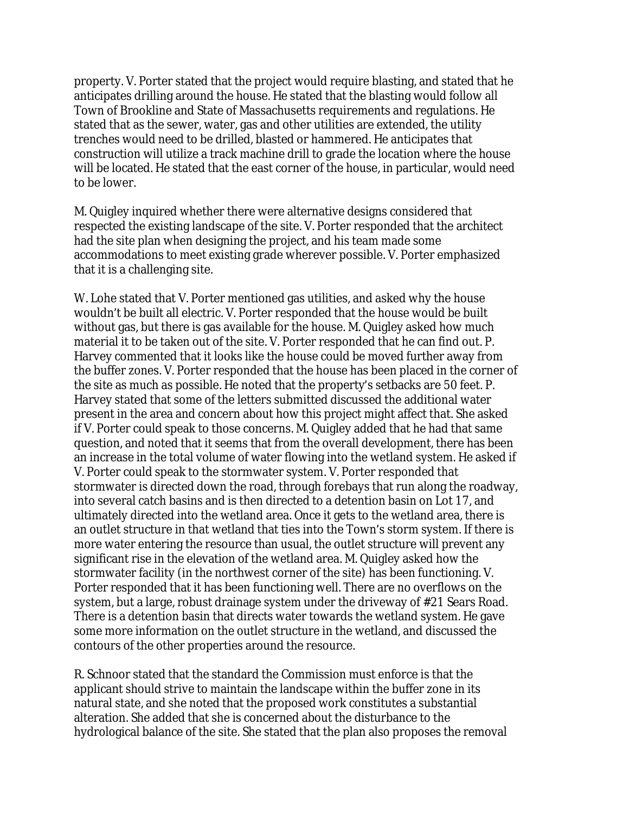property. V. Porter stated that the project would require blasting, and stated that he anticipates drilling around the house. He stated that the blasting would follow all Town of Brookline and State of Massachusetts requirements and regulations. He stated that as the sewer, water, gas and other utilities are extended, the utility trenches would need to be drilled, blasted or hammered. He anticipates that construction will utilize a track machine drill to grade the location where the house will be located. He stated that the east corner of the house, in particular, would need to be lower.

M. Quigley inquired whether there were alternative designs considered that respected the existing landscape of the site. V. Porter responded that the architect had the site plan when designing the project, and his team made some accommodations to meet existing grade wherever possible. V. Porter emphasized that it is a challenging site.

W. Lohe stated that V. Porter mentioned gas utilities, and asked why the house wouldn't be built all electric. V. Porter responded that the house would be built without gas, but there is gas available for the house. M. Quigley asked how much material it to be taken out of the site. V. Porter responded that he can find out. P. Harvey commented that it looks like the house could be moved further away from the buffer zones. V. Porter responded that the house has been placed in the corner of the site as much as possible. He noted that the property's setbacks are 50 feet. P. Harvey stated that some of the letters submitted discussed the additional water present in the area and concern about how this project might affect that. She asked if V. Porter could speak to those concerns. M. Quigley added that he had that same question, and noted that it seems that from the overall development, there has been an increase in the total volume of water flowing into the wetland system. He asked if V. Porter could speak to the stormwater system. V. Porter responded that stormwater is directed down the road, through forebays that run along the roadway, into several catch basins and is then directed to a detention basin on Lot 17, and ultimately directed into the wetland area. Once it gets to the wetland area, there is an outlet structure in that wetland that ties into the Town's storm system. If there is more water entering the resource than usual, the outlet structure will prevent any significant rise in the elevation of the wetland area. M. Quigley asked how the stormwater facility (in the northwest corner of the site) has been functioning. V. Porter responded that it has been functioning well. There are no overflows on the system, but a large, robust drainage system under the driveway of #21 Sears Road. There is a detention basin that directs water towards the wetland system. He gave some more information on the outlet structure in the wetland, and discussed the contours of the other properties around the resource.

R. Schnoor stated that the standard the Commission must enforce is that the applicant should strive to maintain the landscape within the buffer zone in its natural state, and she noted that the proposed work constitutes a substantial alteration. She added that she is concerned about the disturbance to the hydrological balance of the site. She stated that the plan also proposes the removal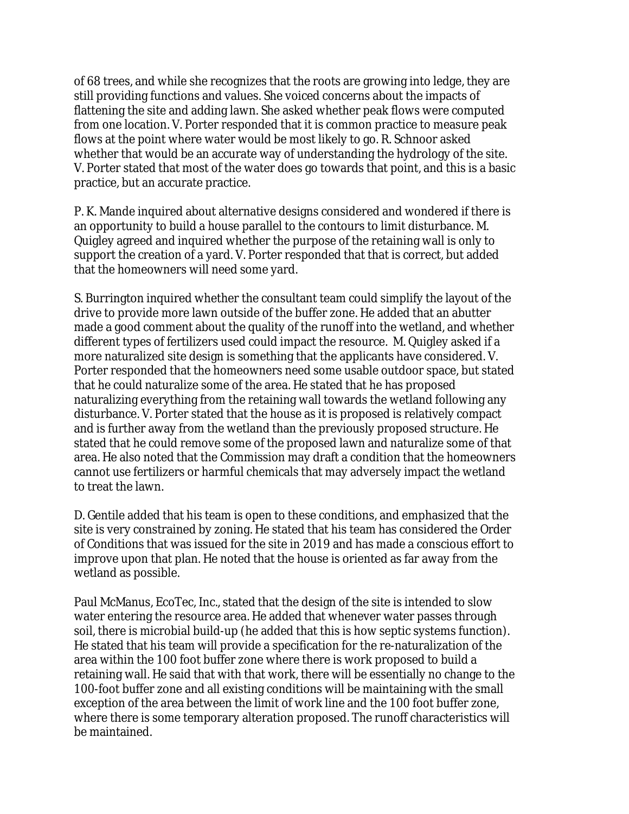of 68 trees, and while she recognizes that the roots are growing into ledge, they are still providing functions and values. She voiced concerns about the impacts of flattening the site and adding lawn. She asked whether peak flows were computed from one location. V. Porter responded that it is common practice to measure peak flows at the point where water would be most likely to go. R. Schnoor asked whether that would be an accurate way of understanding the hydrology of the site. V. Porter stated that most of the water does go towards that point, and this is a basic practice, but an accurate practice.

P. K. Mande inquired about alternative designs considered and wondered if there is an opportunity to build a house parallel to the contours to limit disturbance. M. Quigley agreed and inquired whether the purpose of the retaining wall is only to support the creation of a yard. V. Porter responded that that is correct, but added that the homeowners will need some yard.

S. Burrington inquired whether the consultant team could simplify the layout of the drive to provide more lawn outside of the buffer zone. He added that an abutter made a good comment about the quality of the runoff into the wetland, and whether different types of fertilizers used could impact the resource. M. Quigley asked if a more naturalized site design is something that the applicants have considered. V. Porter responded that the homeowners need some usable outdoor space, but stated that he could naturalize some of the area. He stated that he has proposed naturalizing everything from the retaining wall towards the wetland following any disturbance. V. Porter stated that the house as it is proposed is relatively compact and is further away from the wetland than the previously proposed structure. He stated that he could remove some of the proposed lawn and naturalize some of that area. He also noted that the Commission may draft a condition that the homeowners cannot use fertilizers or harmful chemicals that may adversely impact the wetland to treat the lawn.

D. Gentile added that his team is open to these conditions, and emphasized that the site is very constrained by zoning. He stated that his team has considered the Order of Conditions that was issued for the site in 2019 and has made a conscious effort to improve upon that plan. He noted that the house is oriented as far away from the wetland as possible.

Paul McManus, EcoTec, Inc., stated that the design of the site is intended to slow water entering the resource area. He added that whenever water passes through soil, there is microbial build-up (he added that this is how septic systems function). He stated that his team will provide a specification for the re-naturalization of the area within the 100 foot buffer zone where there is work proposed to build a retaining wall. He said that with that work, there will be essentially no change to the 100-foot buffer zone and all existing conditions will be maintaining with the small exception of the area between the limit of work line and the 100 foot buffer zone, where there is some temporary alteration proposed. The runoff characteristics will be maintained.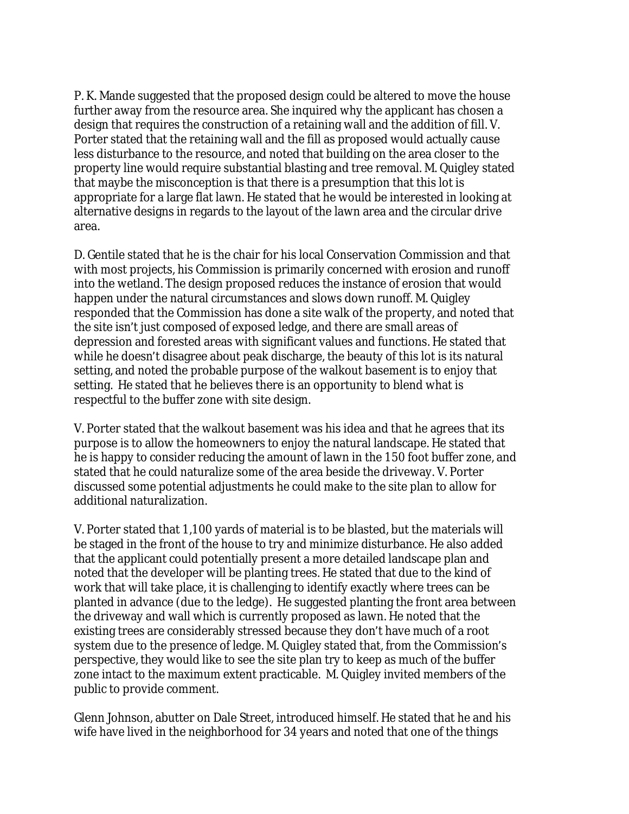P. K. Mande suggested that the proposed design could be altered to move the house further away from the resource area. She inquired why the applicant has chosen a design that requires the construction of a retaining wall and the addition of fill. V. Porter stated that the retaining wall and the fill as proposed would actually cause less disturbance to the resource, and noted that building on the area closer to the property line would require substantial blasting and tree removal. M. Quigley stated that maybe the misconception is that there is a presumption that this lot is appropriate for a large flat lawn. He stated that he would be interested in looking at alternative designs in regards to the layout of the lawn area and the circular drive area.

D. Gentile stated that he is the chair for his local Conservation Commission and that with most projects, his Commission is primarily concerned with erosion and runoff into the wetland. The design proposed reduces the instance of erosion that would happen under the natural circumstances and slows down runoff. M. Quigley responded that the Commission has done a site walk of the property, and noted that the site isn't just composed of exposed ledge, and there are small areas of depression and forested areas with significant values and functions. He stated that while he doesn't disagree about peak discharge, the beauty of this lot is its natural setting, and noted the probable purpose of the walkout basement is to enjoy that setting. He stated that he believes there is an opportunity to blend what is respectful to the buffer zone with site design.

V. Porter stated that the walkout basement was his idea and that he agrees that its purpose is to allow the homeowners to enjoy the natural landscape. He stated that he is happy to consider reducing the amount of lawn in the 150 foot buffer zone, and stated that he could naturalize some of the area beside the driveway. V. Porter discussed some potential adjustments he could make to the site plan to allow for additional naturalization.

V. Porter stated that 1,100 yards of material is to be blasted, but the materials will be staged in the front of the house to try and minimize disturbance. He also added that the applicant could potentially present a more detailed landscape plan and noted that the developer will be planting trees. He stated that due to the kind of work that will take place, it is challenging to identify exactly where trees can be planted in advance (due to the ledge). He suggested planting the front area between the driveway and wall which is currently proposed as lawn. He noted that the existing trees are considerably stressed because they don't have much of a root system due to the presence of ledge. M. Quigley stated that, from the Commission's perspective, they would like to see the site plan try to keep as much of the buffer zone intact to the maximum extent practicable. M. Quigley invited members of the public to provide comment.

Glenn Johnson, abutter on Dale Street, introduced himself. He stated that he and his wife have lived in the neighborhood for 34 years and noted that one of the things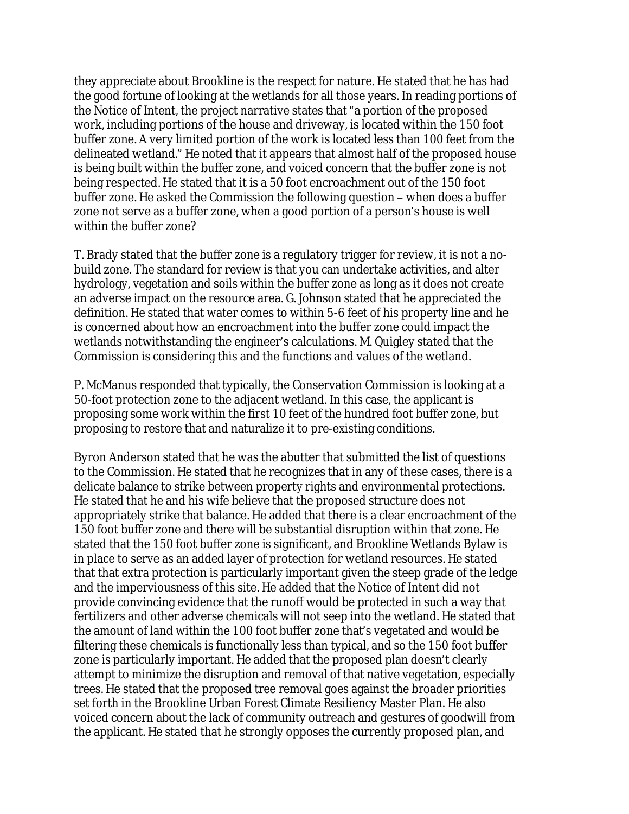they appreciate about Brookline is the respect for nature. He stated that he has had the good fortune of looking at the wetlands for all those years. In reading portions of the Notice of Intent, the project narrative states that "a portion of the proposed work, including portions of the house and driveway, is located within the 150 foot buffer zone. A very limited portion of the work is located less than 100 feet from the delineated wetland." He noted that it appears that almost half of the proposed house is being built within the buffer zone, and voiced concern that the buffer zone is not being respected. He stated that it is a 50 foot encroachment out of the 150 foot buffer zone. He asked the Commission the following question – when does a buffer zone not serve as a buffer zone, when a good portion of a person's house is well within the buffer zone?

T. Brady stated that the buffer zone is a regulatory trigger for review, it is not a nobuild zone. The standard for review is that you can undertake activities, and alter hydrology, vegetation and soils within the buffer zone as long as it does not create an adverse impact on the resource area. G. Johnson stated that he appreciated the definition. He stated that water comes to within 5-6 feet of his property line and he is concerned about how an encroachment into the buffer zone could impact the wetlands notwithstanding the engineer's calculations. M. Quigley stated that the Commission is considering this and the functions and values of the wetland.

P. McManus responded that typically, the Conservation Commission is looking at a 50-foot protection zone to the adjacent wetland. In this case, the applicant is proposing some work within the first 10 feet of the hundred foot buffer zone, but proposing to restore that and naturalize it to pre-existing conditions.

Byron Anderson stated that he was the abutter that submitted the list of questions to the Commission. He stated that he recognizes that in any of these cases, there is a delicate balance to strike between property rights and environmental protections. He stated that he and his wife believe that the proposed structure does not appropriately strike that balance. He added that there is a clear encroachment of the 150 foot buffer zone and there will be substantial disruption within that zone. He stated that the 150 foot buffer zone is significant, and Brookline Wetlands Bylaw is in place to serve as an added layer of protection for wetland resources. He stated that that extra protection is particularly important given the steep grade of the ledge and the imperviousness of this site. He added that the Notice of Intent did not provide convincing evidence that the runoff would be protected in such a way that fertilizers and other adverse chemicals will not seep into the wetland. He stated that the amount of land within the 100 foot buffer zone that's vegetated and would be filtering these chemicals is functionally less than typical, and so the 150 foot buffer zone is particularly important. He added that the proposed plan doesn't clearly attempt to minimize the disruption and removal of that native vegetation, especially trees. He stated that the proposed tree removal goes against the broader priorities set forth in the Brookline Urban Forest Climate Resiliency Master Plan. He also voiced concern about the lack of community outreach and gestures of goodwill from the applicant. He stated that he strongly opposes the currently proposed plan, and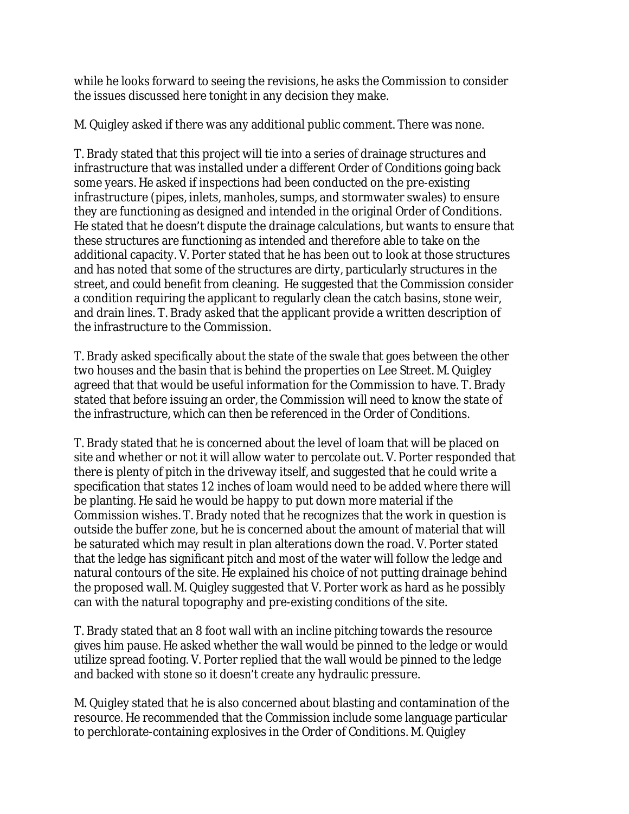while he looks forward to seeing the revisions, he asks the Commission to consider the issues discussed here tonight in any decision they make.

M. Quigley asked if there was any additional public comment. There was none.

T. Brady stated that this project will tie into a series of drainage structures and infrastructure that was installed under a different Order of Conditions going back some years. He asked if inspections had been conducted on the pre-existing infrastructure (pipes, inlets, manholes, sumps, and stormwater swales) to ensure they are functioning as designed and intended in the original Order of Conditions. He stated that he doesn't dispute the drainage calculations, but wants to ensure that these structures are functioning as intended and therefore able to take on the additional capacity. V. Porter stated that he has been out to look at those structures and has noted that some of the structures are dirty, particularly structures in the street, and could benefit from cleaning. He suggested that the Commission consider a condition requiring the applicant to regularly clean the catch basins, stone weir, and drain lines. T. Brady asked that the applicant provide a written description of the infrastructure to the Commission.

T. Brady asked specifically about the state of the swale that goes between the other two houses and the basin that is behind the properties on Lee Street. M. Quigley agreed that that would be useful information for the Commission to have. T. Brady stated that before issuing an order, the Commission will need to know the state of the infrastructure, which can then be referenced in the Order of Conditions.

T. Brady stated that he is concerned about the level of loam that will be placed on site and whether or not it will allow water to percolate out. V. Porter responded that there is plenty of pitch in the driveway itself, and suggested that he could write a specification that states 12 inches of loam would need to be added where there will be planting. He said he would be happy to put down more material if the Commission wishes. T. Brady noted that he recognizes that the work in question is outside the buffer zone, but he is concerned about the amount of material that will be saturated which may result in plan alterations down the road. V. Porter stated that the ledge has significant pitch and most of the water will follow the ledge and natural contours of the site. He explained his choice of not putting drainage behind the proposed wall. M. Quigley suggested that V. Porter work as hard as he possibly can with the natural topography and pre-existing conditions of the site.

T. Brady stated that an 8 foot wall with an incline pitching towards the resource gives him pause. He asked whether the wall would be pinned to the ledge or would utilize spread footing. V. Porter replied that the wall would be pinned to the ledge and backed with stone so it doesn't create any hydraulic pressure.

M. Quigley stated that he is also concerned about blasting and contamination of the resource. He recommended that the Commission include some language particular to perchlorate-containing explosives in the Order of Conditions. M. Quigley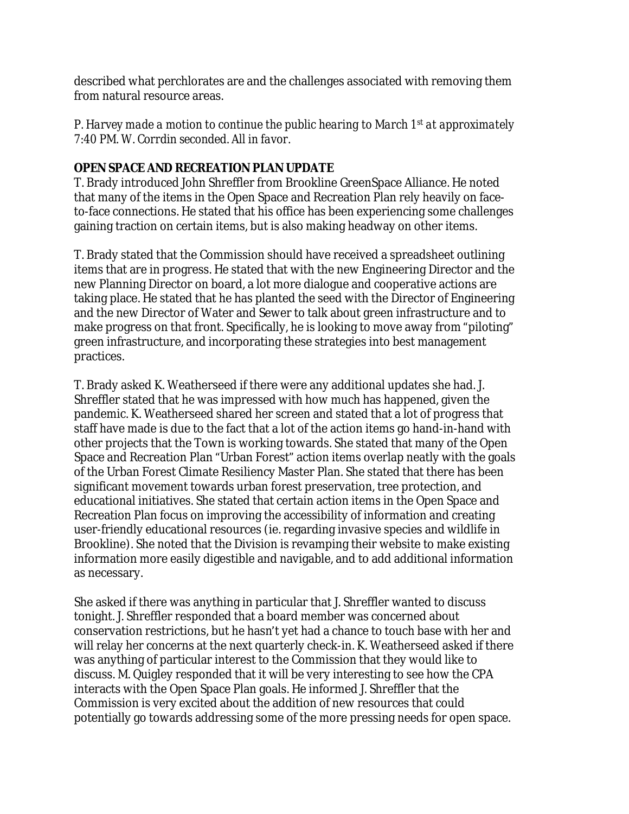described what perchlorates are and the challenges associated with removing them from natural resource areas.

*P. Harvey made a motion to continue the public hearing to March 1st at approximately 7:40 PM. W. Corrdin seconded. All in favor.*

# **OPEN SPACE AND RECREATION PLAN UPDATE**

T. Brady introduced John Shreffler from Brookline GreenSpace Alliance. He noted that many of the items in the Open Space and Recreation Plan rely heavily on faceto-face connections. He stated that his office has been experiencing some challenges gaining traction on certain items, but is also making headway on other items.

T. Brady stated that the Commission should have received a spreadsheet outlining items that are in progress. He stated that with the new Engineering Director and the new Planning Director on board, a lot more dialogue and cooperative actions are taking place. He stated that he has planted the seed with the Director of Engineering and the new Director of Water and Sewer to talk about green infrastructure and to make progress on that front. Specifically, he is looking to move away from "piloting" green infrastructure, and incorporating these strategies into best management practices.

T. Brady asked K. Weatherseed if there were any additional updates she had. J. Shreffler stated that he was impressed with how much has happened, given the pandemic. K. Weatherseed shared her screen and stated that a lot of progress that staff have made is due to the fact that a lot of the action items go hand-in-hand with other projects that the Town is working towards. She stated that many of the Open Space and Recreation Plan "Urban Forest" action items overlap neatly with the goals of the Urban Forest Climate Resiliency Master Plan. She stated that there has been significant movement towards urban forest preservation, tree protection, and educational initiatives. She stated that certain action items in the Open Space and Recreation Plan focus on improving the accessibility of information and creating user-friendly educational resources (ie. regarding invasive species and wildlife in Brookline). She noted that the Division is revamping their website to make existing information more easily digestible and navigable, and to add additional information as necessary.

She asked if there was anything in particular that J. Shreffler wanted to discuss tonight. J. Shreffler responded that a board member was concerned about conservation restrictions, but he hasn't yet had a chance to touch base with her and will relay her concerns at the next quarterly check-in. K. Weatherseed asked if there was anything of particular interest to the Commission that they would like to discuss. M. Quigley responded that it will be very interesting to see how the CPA interacts with the Open Space Plan goals. He informed J. Shreffler that the Commission is very excited about the addition of new resources that could potentially go towards addressing some of the more pressing needs for open space.